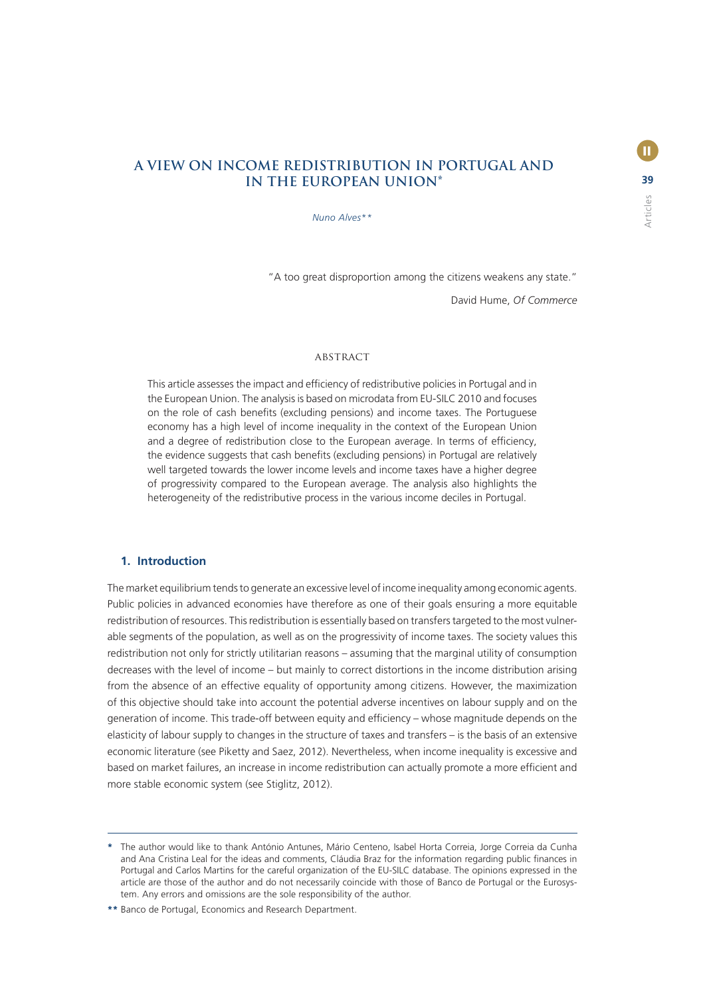# **A VIEW ON INCOME REDISTRIBUTION IN PORTUGAL AND IN THE EUROPEAN UNION\***

*Nuno Alves\*\**

"A too great disproportion among the citizens weakens any state."

David Hume, *Of Commerce*

## ABSTRACT

This article assesses the impact and efficiency of redistributive policies in Portugal and in the European Union. The analysis is based on microdata from EU-SILC 2010 and focuses on the role of cash benefits (excluding pensions) and income taxes. The Portuguese economy has a high level of income inequality in the context of the European Union and a degree of redistribution close to the European average. In terms of efficiency, the evidence suggests that cash benefits (excluding pensions) in Portugal are relatively well targeted towards the lower income levels and income taxes have a higher degree of progressivity compared to the European average. The analysis also highlights the heterogeneity of the redistributive process in the various income deciles in Portugal.

#### **1. Introduction**

The market equilibrium tends to generate an excessive level of income inequality among economic agents. Public policies in advanced economies have therefore as one of their goals ensuring a more equitable redistribution of resources. This redistribution is essentially based on transfers targeted to the most vulnerable segments of the population, as well as on the progressivity of income taxes. The society values this redistribution not only for strictly utilitarian reasons – assuming that the marginal utility of consumption decreases with the level of income – but mainly to correct distortions in the income distribution arising from the absence of an effective equality of opportunity among citizens. However, the maximization of this objective should take into account the potential adverse incentives on labour supply and on the generation of income. This trade-off between equity and efficiency – whose magnitude depends on the elasticity of labour supply to changes in the structure of taxes and transfers – is the basis of an extensive economic literature (see Piketty and Saez, 2012). Nevertheless, when income inequality is excessive and based on market failures, an increase in income redistribution can actually promote a more efficient and more stable economic system (see Stiglitz, 2012).

**<sup>\*</sup>** The author would like to thank António Antunes, Mário Centeno, Isabel Horta Correia, Jorge Correia da Cunha and Ana Cristina Leal for the ideas and comments, Cláudia Braz for the information regarding public finances in Portugal and Carlos Martins for the careful organization of the EU-SILC database. The opinions expressed in the article are those of the author and do not necessarily coincide with those of Banco de Portugal or the Eurosystem. Any errors and omissions are the sole responsibility of the author.

**<sup>\*\*</sup>** Banco de Portugal, Economics and Research Department.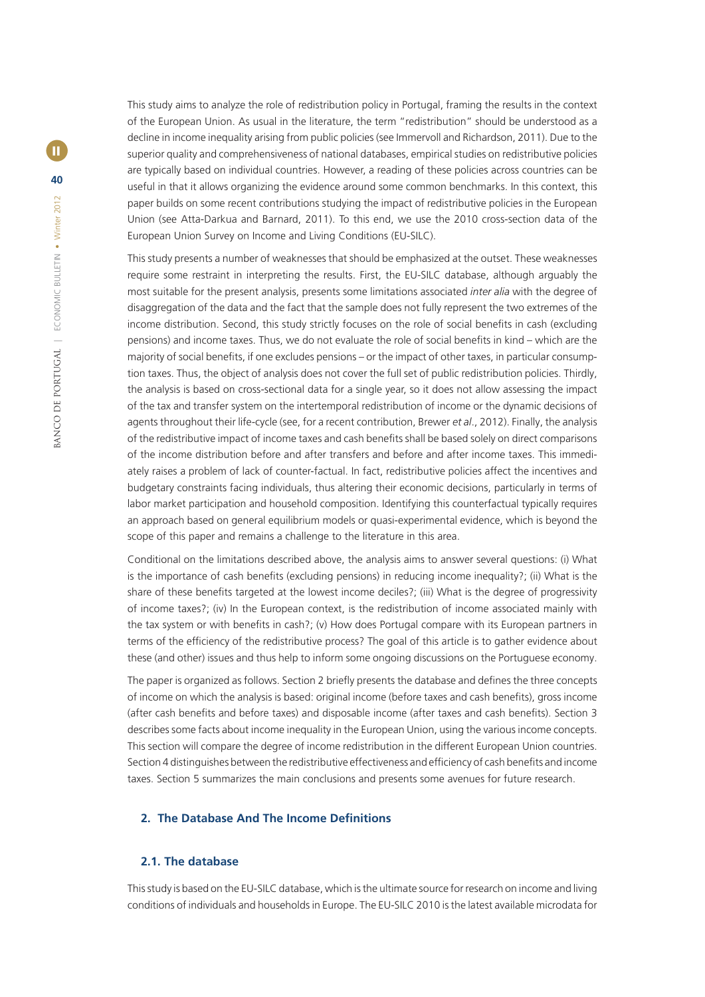This study aims to analyze the role of redistribution policy in Portugal, framing the results in the context of the European Union. As usual in the literature, the term "redistribution" should be understood as a decline in income inequality arising from public policies (see Immervoll and Richardson, 2011). Due to the superior quality and comprehensiveness of national databases, empirical studies on redistributive policies are typically based on individual countries. However, a reading of these policies across countries can be useful in that it allows organizing the evidence around some common benchmarks. In this context, this paper builds on some recent contributions studying the impact of redistributive policies in the European Union (see Atta-Darkua and Barnard, 2011). To this end, we use the 2010 cross-section data of the European Union Survey on Income and Living Conditions (EU-SILC).

This study presents a number of weaknesses that should be emphasized at the outset. These weaknesses require some restraint in interpreting the results. First, the EU-SILC database, although arguably the most suitable for the present analysis, presents some limitations associated *inter alia* with the degree of disaggregation of the data and the fact that the sample does not fully represent the two extremes of the income distribution. Second, this study strictly focuses on the role of social benefits in cash (excluding pensions) and income taxes. Thus, we do not evaluate the role of social benefits in kind – which are the majority of social benefits, if one excludes pensions – or the impact of other taxes, in particular consumption taxes. Thus, the object of analysis does not cover the full set of public redistribution policies. Thirdly, the analysis is based on cross-sectional data for a single year, so it does not allow assessing the impact of the tax and transfer system on the intertemporal redistribution of income or the dynamic decisions of agents throughout their life-cycle (see, for a recent contribution, Brewer *et al*., 2012). Finally, the analysis of the redistributive impact of income taxes and cash benefits shall be based solely on direct comparisons of the income distribution before and after transfers and before and after income taxes. This immediately raises a problem of lack of counter-factual. In fact, redistributive policies affect the incentives and budgetary constraints facing individuals, thus altering their economic decisions, particularly in terms of labor market participation and household composition. Identifying this counterfactual typically requires an approach based on general equilibrium models or quasi-experimental evidence, which is beyond the scope of this paper and remains a challenge to the literature in this area.

Conditional on the limitations described above, the analysis aims to answer several questions: (i) What is the importance of cash benefits (excluding pensions) in reducing income inequality?; (ii) What is the share of these benefits targeted at the lowest income deciles?; (iii) What is the degree of progressivity of income taxes?; (iv) In the European context, is the redistribution of income associated mainly with the tax system or with benefits in cash?; (v) How does Portugal compare with its European partners in terms of the efficiency of the redistributive process? The goal of this article is to gather evidence about these (and other) issues and thus help to inform some ongoing discussions on the Portuguese economy.

The paper is organized as follows. Section 2 briefly presents the database and defines the three concepts of income on which the analysis is based: original income (before taxes and cash benefits), gross income (after cash benefits and before taxes) and disposable income (after taxes and cash benefits). Section 3 describes some facts about income inequality in the European Union, using the various income concepts. This section will compare the degree of income redistribution in the different European Union countries. Section 4 distinguishes between the redistributive effectiveness and efficiency of cash benefits and income taxes. Section 5 summarizes the main conclusions and presents some avenues for future research.

#### **2. The Database And The Income Definitions**

## **2.1. The database**

This study is based on the EU-SILC database, which is the ultimate source for research on income and living conditions of individuals and households in Europe. The EU-SILC 2010 is the latest available microdata for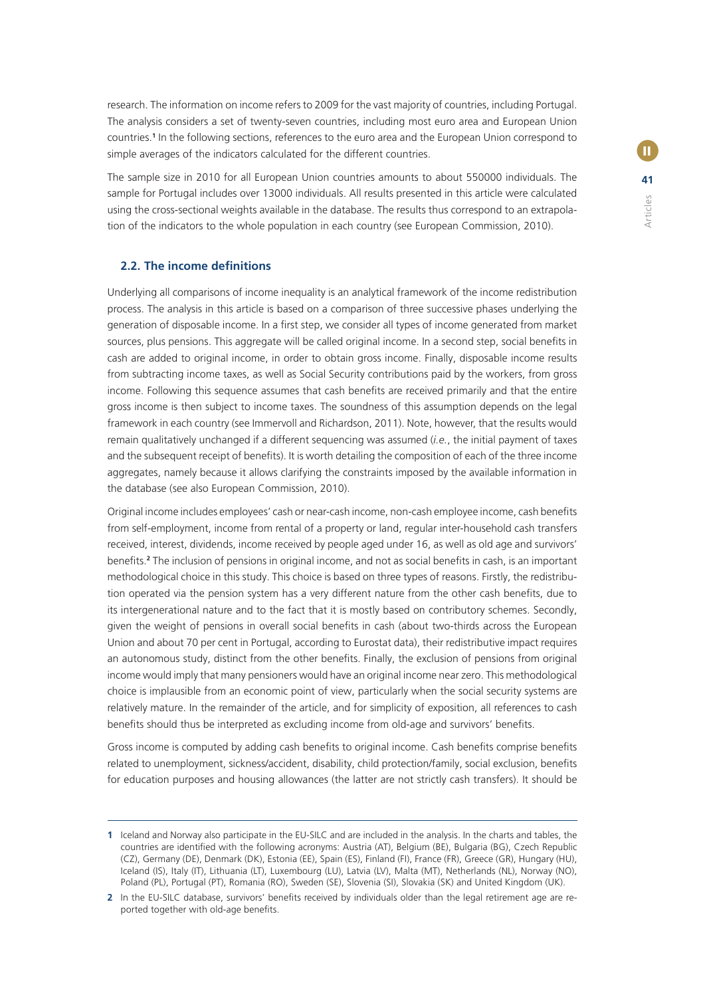research. The information on income refers to 2009 for the vast majority of countries, including Portugal. The analysis considers a set of twenty-seven countries, including most euro area and European Union countries.<sup>1</sup> In the following sections, references to the euro area and the European Union correspond to simple averages of the indicators calculated for the different countries.

The sample size in 2010 for all European Union countries amounts to about 550000 individuals. The sample for Portugal includes over 13000 individuals. All results presented in this article were calculated using the cross-sectional weights available in the database. The results thus correspond to an extrapolation of the indicators to the whole population in each country (see European Commission, 2010).

#### **2.2. The income definitions**

Underlying all comparisons of income inequality is an analytical framework of the income redistribution process. The analysis in this article is based on a comparison of three successive phases underlying the generation of disposable income. In a first step, we consider all types of income generated from market sources, plus pensions. This aggregate will be called original income. In a second step, social benefits in cash are added to original income, in order to obtain gross income. Finally, disposable income results from subtracting income taxes, as well as Social Security contributions paid by the workers, from gross income. Following this sequence assumes that cash benefits are received primarily and that the entire gross income is then subject to income taxes. The soundness of this assumption depends on the legal framework in each country (see Immervoll and Richardson, 2011). Note, however, that the results would remain qualitatively unchanged if a different sequencing was assumed (*i.e.*, the initial payment of taxes and the subsequent receipt of benefits). It is worth detailing the composition of each of the three income aggregates, namely because it allows clarifying the constraints imposed by the available information in the database (see also European Commission, 2010).

Original income includes employees' cash or near-cash income, non-cash employee income, cash benefits from self-employment, income from rental of a property or land, regular inter-household cash transfers received, interest, dividends, income received by people aged under 16, as well as old age and survivors' benefits.<sup>2</sup> The inclusion of pensions in original income, and not as social benefits in cash, is an important methodological choice in this study. This choice is based on three types of reasons. Firstly, the redistribution operated via the pension system has a very different nature from the other cash benefits, due to its intergenerational nature and to the fact that it is mostly based on contributory schemes. Secondly, given the weight of pensions in overall social benefits in cash (about two-thirds across the European Union and about 70 per cent in Portugal, according to Eurostat data), their redistributive impact requires an autonomous study, distinct from the other benefits. Finally, the exclusion of pensions from original income would imply that many pensioners would have an original income near zero. This methodological choice is implausible from an economic point of view, particularly when the social security systems are relatively mature. In the remainder of the article, and for simplicity of exposition, all references to cash benefits should thus be interpreted as excluding income from old-age and survivors' benefits.

Gross income is computed by adding cash benefits to original income. Cash benefits comprise benefits related to unemployment, sickness/accident, disability, child protection/family, social exclusion, benefits for education purposes and housing allowances (the latter are not strictly cash transfers). It should be

**<sup>1</sup>** Iceland and Norway also participate in the EU-SILC and are included in the analysis. In the charts and tables, the countries are identified with the following acronyms: Austria (AT), Belgium (BE), Bulgaria (BG), Czech Republic (CZ), Germany (DE), Denmark (DK), Estonia (EE), Spain (ES), Finland (FI), France (FR), Greece (GR), Hungary (HU), Iceland (IS), Italy (IT), Lithuania (LT), Luxembourg (LU), Latvia (LV), Malta (MT), Netherlands (NL), Norway (NO), Poland (PL), Portugal (PT), Romania (RO), Sweden (SE), Slovenia (SI), Slovakia (SK) and United Kingdom (UK).

**<sup>2</sup>** In the EU-SILC database, survivors' benefits received by individuals older than the legal retirement age are reported together with old-age benefits.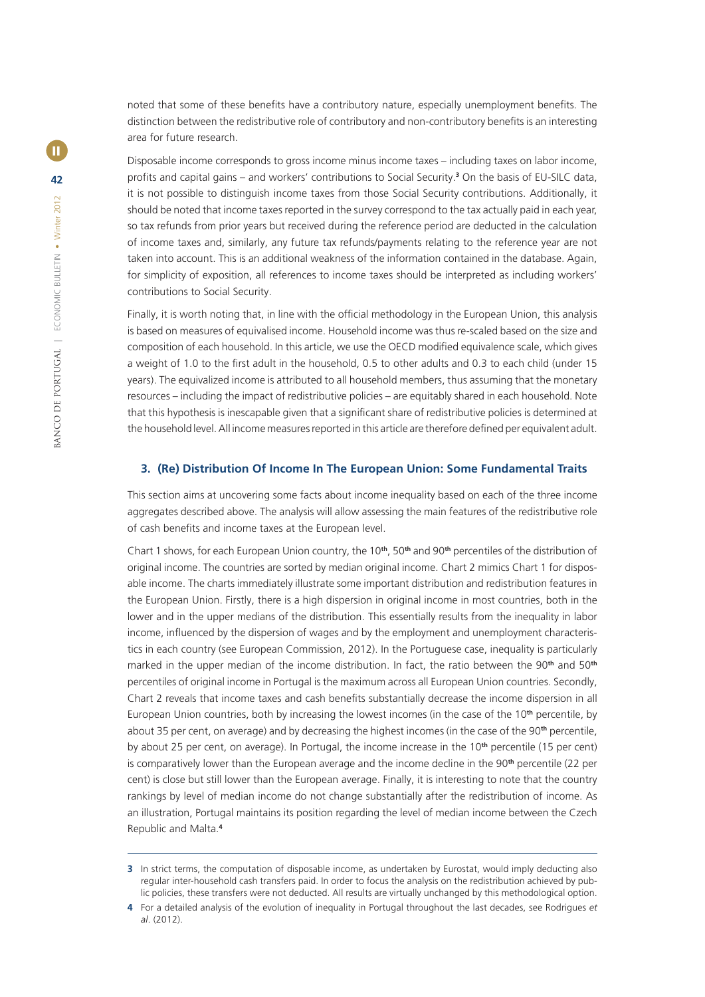noted that some of these benefits have a contributory nature, especially unemployment benefits. The distinction between the redistributive role of contributory and non-contributory benefits is an interesting area for future research.

Disposable income corresponds to gross income minus income taxes – including taxes on labor income, profits and capital gains – and workers' contributions to Social Security.<sup>3</sup> On the basis of EU-SILC data, it is not possible to distinguish income taxes from those Social Security contributions. Additionally, it should be noted that income taxes reported in the survey correspond to the tax actually paid in each year, so tax refunds from prior years but received during the reference period are deducted in the calculation of income taxes and, similarly, any future tax refunds/payments relating to the reference year are not taken into account. This is an additional weakness of the information contained in the database. Again, for simplicity of exposition, all references to income taxes should be interpreted as including workers' contributions to Social Security.

Finally, it is worth noting that, in line with the official methodology in the European Union, this analysis is based on measures of equivalised income. Household income was thus re-scaled based on the size and composition of each household. In this article, we use the OECD modified equivalence scale, which gives a weight of 1.0 to the first adult in the household, 0.5 to other adults and 0.3 to each child (under 15 years). The equivalized income is attributed to all household members, thus assuming that the monetary resources – including the impact of redistributive policies – are equitably shared in each household. Note that this hypothesis is inescapable given that a significant share of redistributive policies is determined at the household level. All income measures reported in this article are therefore defined per equivalent adult.

#### **3. (Re) Distribution Of Income In The European Union: Some Fundamental Traits**

This section aims at uncovering some facts about income inequality based on each of the three income aggregates described above. The analysis will allow assessing the main features of the redistributive role of cash benefits and income taxes at the European level.

Chart 1 shows, for each European Union country, the 10**th**, 50**th** and 90**th** percentiles of the distribution of original income. The countries are sorted by median original income. Chart 2 mimics Chart 1 for disposable income. The charts immediately illustrate some important distribution and redistribution features in the European Union. Firstly, there is a high dispersion in original income in most countries, both in the lower and in the upper medians of the distribution. This essentially results from the inequality in labor income, influenced by the dispersion of wages and by the employment and unemployment characteristics in each country (see European Commission, 2012). In the Portuguese case, inequality is particularly marked in the upper median of the income distribution. In fact, the ratio between the 90**th** and 50**th** percentiles of original income in Portugal is the maximum across all European Union countries. Secondly, Chart 2 reveals that income taxes and cash benefits substantially decrease the income dispersion in all European Union countries, both by increasing the lowest incomes (in the case of the 10**th** percentile, by about 35 per cent, on average) and by decreasing the highest incomes (in the case of the 90**th** percentile, by about 25 per cent, on average). In Portugal, the income increase in the 10**th** percentile (15 per cent) is comparatively lower than the European average and the income decline in the 90**th** percentile (22 per cent) is close but still lower than the European average. Finally, it is interesting to note that the country rankings by level of median income do not change substantially after the redistribution of income. As an illustration, Portugal maintains its position regarding the level of median income between the Czech Republic and Malta.**<sup>4</sup>**

**<sup>3</sup>** In strict terms, the computation of disposable income, as undertaken by Eurostat, would imply deducting also regular inter-household cash transfers paid. In order to focus the analysis on the redistribution achieved by public policies, these transfers were not deducted. All results are virtually unchanged by this methodological option.

**<sup>4</sup>** For a detailed analysis of the evolution of inequality in Portugal throughout the last decades, see Rodrigues *et al*. (2012).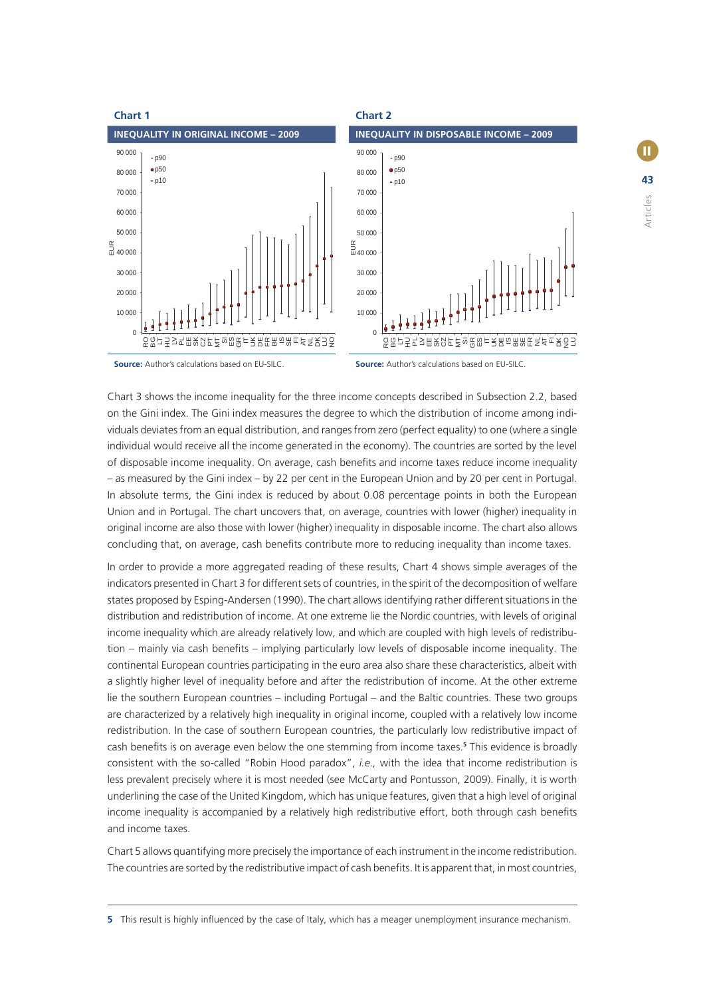

**Source:** Author's calculations based on EU-SILC. **Source:** Author's calculations based on EU-SILC.

Chart 3 shows the income inequality for the three income concepts described in Subsection 2.2, based on the Gini index. The Gini index measures the degree to which the distribution of income among individuals deviates from an equal distribution, and ranges from zero (perfect equality) to one (where a single individual would receive all the income generated in the economy). The countries are sorted by the level of disposable income inequality. On average, cash benefits and income taxes reduce income inequality – as measured by the Gini index – by 22 per cent in the European Union and by 20 per cent in Portugal. In absolute terms, the Gini index is reduced by about 0.08 percentage points in both the European Union and in Portugal. The chart uncovers that, on average, countries with lower (higher) inequality in original income are also those with lower (higher) inequality in disposable income. The chart also allows concluding that, on average, cash benefits contribute more to reducing inequality than income taxes.

In order to provide a more aggregated reading of these results, Chart 4 shows simple averages of the indicators presented in Chart 3 for different sets of countries, in the spirit of the decomposition of welfare states proposed by Esping-Andersen (1990). The chart allows identifying rather different situations in the distribution and redistribution of income. At one extreme lie the Nordic countries, with levels of original income inequality which are already relatively low, and which are coupled with high levels of redistribution – mainly via cash benefits – implying particularly low levels of disposable income inequality. The continental European countries participating in the euro area also share these characteristics, albeit with a slightly higher level of inequality before and after the redistribution of income. At the other extreme lie the southern European countries – including Portugal – and the Baltic countries. These two groups are characterized by a relatively high inequality in original income, coupled with a relatively low income redistribution. In the case of southern European countries, the particularly low redistributive impact of cash benefits is on average even below the one stemming from income taxes.<sup>5</sup> This evidence is broadly consistent with the so-called "Robin Hood paradox", *i.e.,* with the idea that income redistribution is less prevalent precisely where it is most needed (see McCarty and Pontusson, 2009). Finally, it is worth underlining the case of the United Kingdom, which has unique features, given that a high level of original income inequality is accompanied by a relatively high redistributive effort, both through cash benefits and income taxes.

Chart 5 allows quantifying more precisely the importance of each instrument in the income redistribution. The countries are sorted by the redistributive impact of cash benefits. It is apparent that, in most countries,

**5** This result is highly influenced by the case of Italy, which has a meager unemployment insurance mechanism.

์ **II**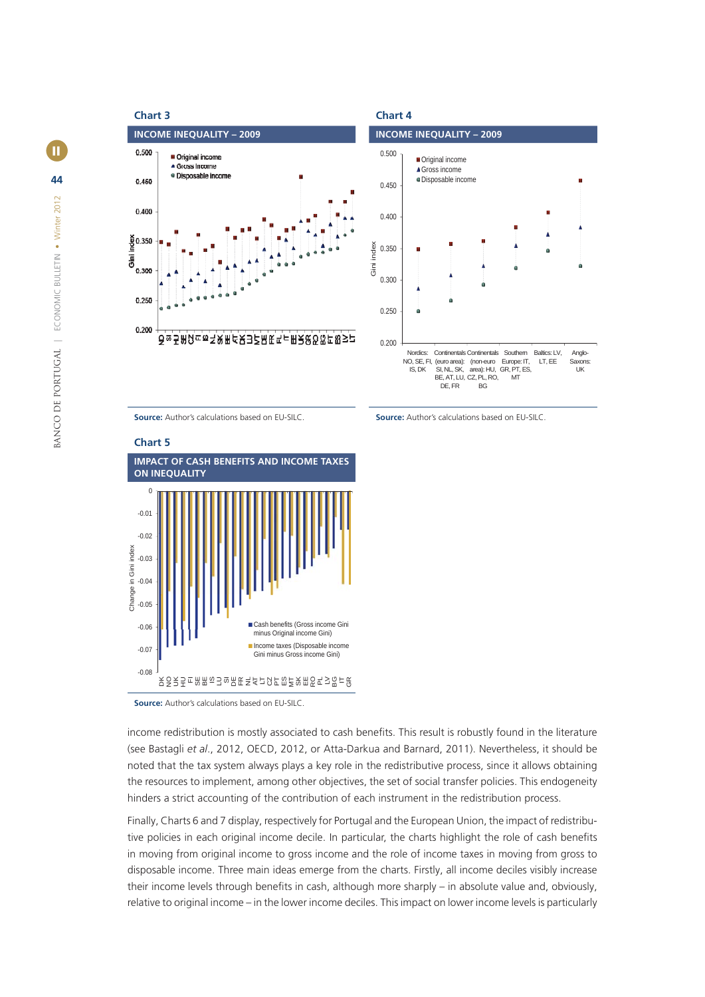

**Source:** Author's calculations based on EU-SILC. **Source:** Author's calculations based on EU-SILC.



**Source:** Author's calculations based on EU-SILC.

income redistribution is mostly associated to cash benefits. This result is robustly found in the literature (see Bastagli *et al*., 2012, OECD, 2012, or Atta-Darkua and Barnard, 2011). Nevertheless, it should be noted that the tax system always plays a key role in the redistributive process, since it allows obtaining the resources to implement, among other objectives, the set of social transfer policies. This endogeneity hinders a strict accounting of the contribution of each instrument in the redistribution process.

Finally, Charts 6 and 7 display, respectively for Portugal and the European Union, the impact of redistributive policies in each original income decile. In particular, the charts highlight the role of cash benefits in moving from original income to gross income and the role of income taxes in moving from gross to disposable income. Three main ideas emerge from the charts. Firstly, all income deciles visibly increase their income levels through benefits in cash, although more sharply – in absolute value and, obviously, relative to original income – in the lower income deciles. This impact on lower income levels is particularly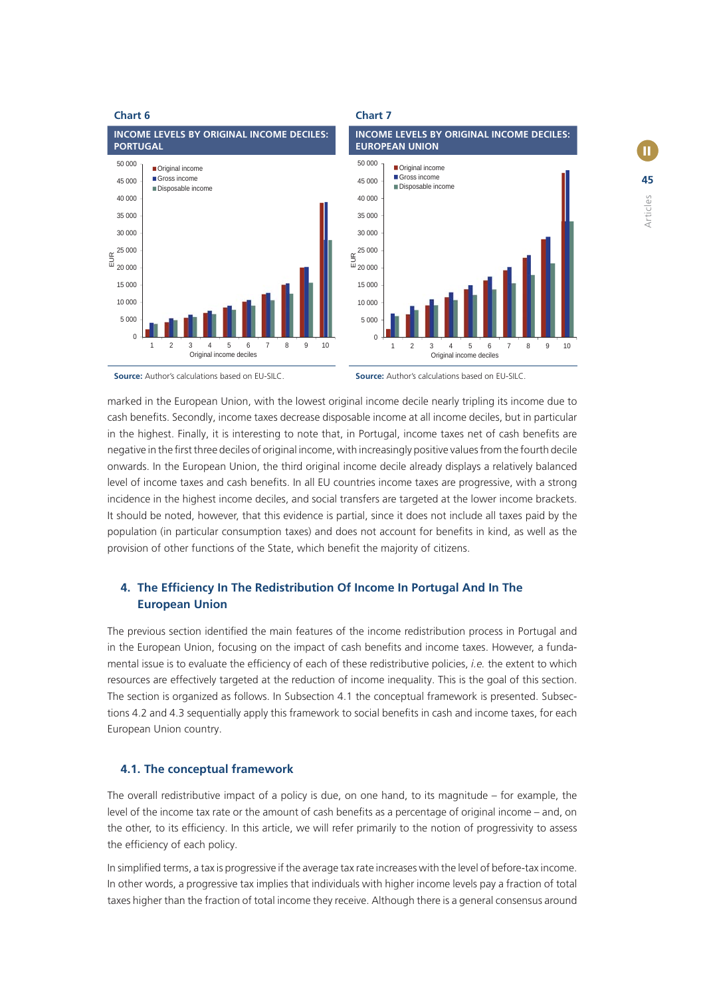

**Source:** Author's calculations based on EU-SILC. **Source:** Author's calculations based on EU-SILC.

marked in the European Union, with the lowest original income decile nearly tripling its income due to cash benefits. Secondly, income taxes decrease disposable income at all income deciles, but in particular in the highest. Finally, it is interesting to note that, in Portugal, income taxes net of cash benefits are negative in the first three deciles of original income, with increasingly positive values from the fourth decile onwards. In the European Union, the third original income decile already displays a relatively balanced level of income taxes and cash benefits. In all EU countries income taxes are progressive, with a strong incidence in the highest income deciles, and social transfers are targeted at the lower income brackets. It should be noted, however, that this evidence is partial, since it does not include all taxes paid by the population (in particular consumption taxes) and does not account for benefits in kind, as well as the provision of other functions of the State, which benefit the majority of citizens.

## **4. The Efficiency In The Redistribution Of Income In Portugal And In The European Union**

The previous section identified the main features of the income redistribution process in Portugal and in the European Union, focusing on the impact of cash benefits and income taxes. However, a fundamental issue is to evaluate the efficiency of each of these redistributive policies, *i.e.* the extent to which resources are effectively targeted at the reduction of income inequality. This is the goal of this section. The section is organized as follows. In Subsection 4.1 the conceptual framework is presented. Subsections 4.2 and 4.3 sequentially apply this framework to social benefits in cash and income taxes, for each European Union country.

#### **4.1. The conceptual framework**

The overall redistributive impact of a policy is due, on one hand, to its magnitude – for example, the level of the income tax rate or the amount of cash benefits as a percentage of original income – and, on the other, to its efficiency. In this article, we will refer primarily to the notion of progressivity to assess the efficiency of each policy.

In simplified terms, a tax is progressive if the average tax rate increases with the level of before-tax income. In other words, a progressive tax implies that individuals with higher income levels pay a fraction of total taxes higher than the fraction of total income they receive. Although there is a general consensus around

์ **II**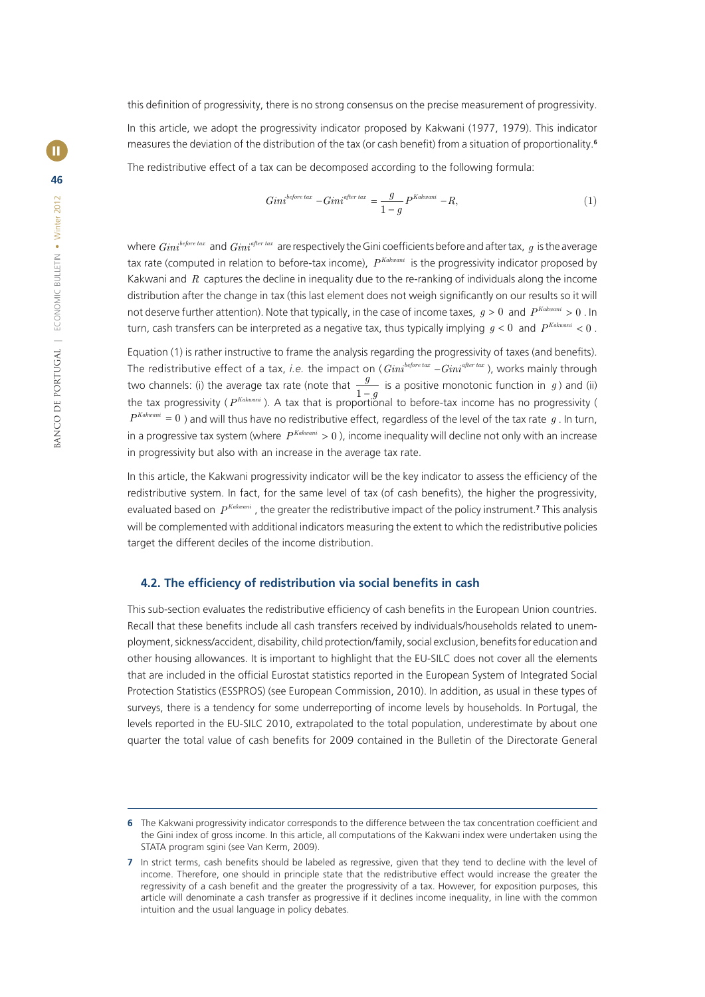this definition of progressivity, there is no strong consensus on the precise measurement of progressivity.

In this article, we adopt the progressivity indicator proposed by Kakwani (1977, 1979). This indicator measures the deviation of the distribution of the tax (or cash benefit) from a situation of proportionality.<sup>6</sup>

The redistributive effect of a tax can be decomposed according to the following formula:

$$
Gini^{before\,tax} - Gini^{after\,tax} = \frac{g}{1-g}P^{Kakwani} - R,\tag{1}
$$

where  $Gini^{before\,tax}$  and  $Gini^{after\,tax}$  are respectively the Gini coefficients before and after tax,  $g$  is the average tax rate (computed in relation to before-tax income),  $P^{Kakwani}$  is the progressivity indicator proposed by Kakwani and *R* captures the decline in inequality due to the re-ranking of individuals along the income distribution after the change in tax (this last element does not weigh significantly on our results so it will not deserve further attention). Note that typically, in the case of income taxes,  $g > 0$  and  $P^{Kakwani} > 0$ . In turn, cash transfers can be interpreted as a negative tax, thus typically implying  $g < 0$  and  $P^{Kakwani} < 0$ .

Equation (1) is rather instructive to frame the analysis regarding the progressivity of taxes (and benefits). The redistributive effect of a tax, *i.e.* the impact on ( $Gini^{before\, tax}$  - $Gini^{after\, tax}$ ), works mainly through two channels: (i) the average tax rate (note that  $\frac{g}{1-z}$  $\frac{g}{g}$  is a positive monotonic function in *g*) and (ii) the tax progressivity ( $P^{Kakwani}$ ). A tax that is proportional to before-tax income has no progressivity (  $P^{Kakwani} = 0$ ) and will thus have no redistributive effect, regardless of the level of the tax rate  $g$ . In turn, in a progressive tax system (where  $P^{Kakwani} > 0$ ), income inequality will decline not only with an increase in progressivity but also with an increase in the average tax rate.

In this article, the Kakwani progressivity indicator will be the key indicator to assess the efficiency of the redistributive system. In fact, for the same level of tax (of cash benefits), the higher the progressivity, evaluated based on  $P^{Kakwani}$ , the greater the redistributive impact of the policy instrument.<sup>7</sup> This analysis will be complemented with additional indicators measuring the extent to which the redistributive policies target the different deciles of the income distribution.

#### **4.2. The efficiency of redistribution via social benefits in cash**

This sub-section evaluates the redistributive efficiency of cash benefits in the European Union countries. Recall that these benefits include all cash transfers received by individuals/households related to unemployment, sickness/accident, disability, child protection/family, social exclusion, benefits for education and other housing allowances. It is important to highlight that the EU-SILC does not cover all the elements that are included in the official Eurostat statistics reported in the European System of Integrated Social Protection Statistics (ESSPROS) (see European Commission, 2010). In addition, as usual in these types of surveys, there is a tendency for some underreporting of income levels by households. In Portugal, the levels reported in the EU-SILC 2010, extrapolated to the total population, underestimate by about one quarter the total value of cash benefits for 2009 contained in the Bulletin of the Directorate General

**<sup>6</sup>** The Kakwani progressivity indicator corresponds to the difference between the tax concentration coefficient and the Gini index of gross income. In this article, all computations of the Kakwani index were undertaken using the STATA program sgini (see Van Kerm, 2009).

**<sup>7</sup>** In strict terms, cash benefits should be labeled as regressive, given that they tend to decline with the level of income. Therefore, one should in principle state that the redistributive effect would increase the greater the regressivity of a cash benefit and the greater the progressivity of a tax. However, for exposition purposes, this article will denominate a cash transfer as progressive if it declines income inequality, in line with the common intuition and the usual language in policy debates.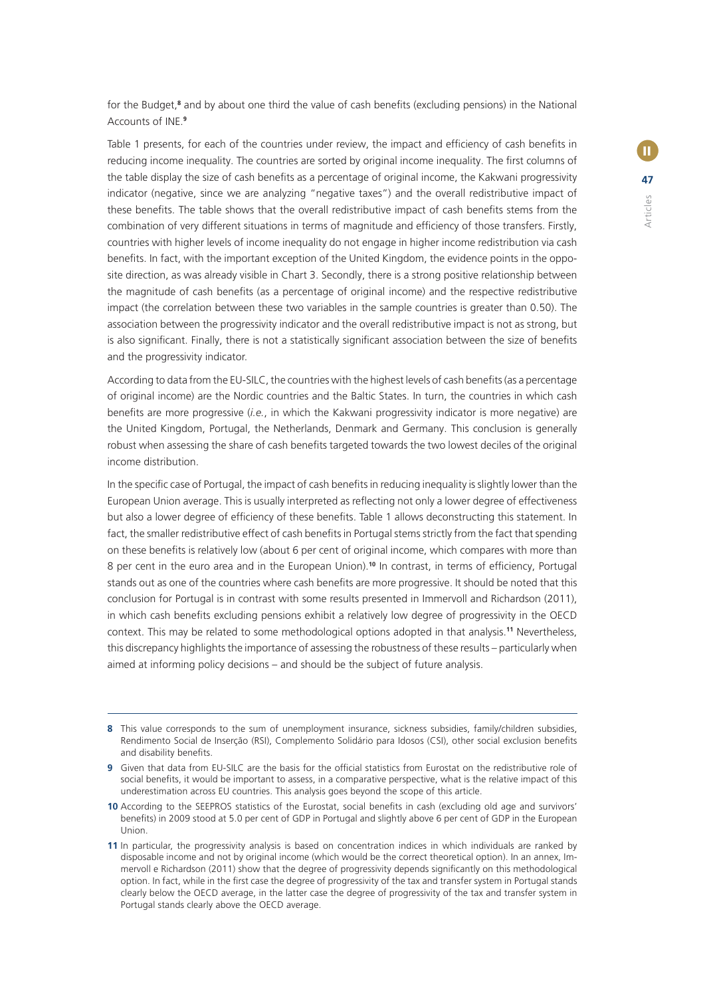for the Budget,<sup>8</sup> and by about one third the value of cash benefits (excluding pensions) in the National Accounts of INE.**<sup>9</sup>**

Table 1 presents, for each of the countries under review, the impact and efficiency of cash benefits in reducing income inequality. The countries are sorted by original income inequality. The first columns of the table display the size of cash benefits as a percentage of original income, the Kakwani progressivity indicator (negative, since we are analyzing "negative taxes") and the overall redistributive impact of these benefits. The table shows that the overall redistributive impact of cash benefits stems from the combination of very different situations in terms of magnitude and efficiency of those transfers. Firstly, countries with higher levels of income inequality do not engage in higher income redistribution via cash benefits. In fact, with the important exception of the United Kingdom, the evidence points in the opposite direction, as was already visible in Chart 3. Secondly, there is a strong positive relationship between the magnitude of cash benefits (as a percentage of original income) and the respective redistributive impact (the correlation between these two variables in the sample countries is greater than 0.50). The association between the progressivity indicator and the overall redistributive impact is not as strong, but is also significant. Finally, there is not a statistically significant association between the size of benefits and the progressivity indicator.

According to data from the EU-SILC, the countries with the highest levels of cash benefits (as a percentage of original income) are the Nordic countries and the Baltic States. In turn, the countries in which cash benefits are more progressive (*i.e.*, in which the Kakwani progressivity indicator is more negative) are the United Kingdom, Portugal, the Netherlands, Denmark and Germany. This conclusion is generally robust when assessing the share of cash benefits targeted towards the two lowest deciles of the original income distribution.

In the specific case of Portugal, the impact of cash benefits in reducing inequality is slightly lower than the European Union average. This is usually interpreted as reflecting not only a lower degree of effectiveness but also a lower degree of efficiency of these benefits. Table 1 allows deconstructing this statement. In fact, the smaller redistributive effect of cash benefits in Portugal stems strictly from the fact that spending on these benefits is relatively low (about 6 per cent of original income, which compares with more than 8 per cent in the euro area and in the European Union).<sup>10</sup> In contrast, in terms of efficiency, Portugal stands out as one of the countries where cash benefits are more progressive. It should be noted that this conclusion for Portugal is in contrast with some results presented in Immervoll and Richardson (2011), in which cash benefits excluding pensions exhibit a relatively low degree of progressivity in the OECD context. This may be related to some methodological options adopted in that analysis.**<sup>11</sup>** Nevertheless, this discrepancy highlights the importance of assessing the robustness of these results – particularly when aimed at informing policy decisions – and should be the subject of future analysis.

**<sup>8</sup>** This value corresponds to the sum of unemployment insurance, sickness subsidies, family/children subsidies, Rendimento Social de Inserção (RSI), Complemento Solidário para Idosos (CSI), other social exclusion benefits and disability benefits.

**<sup>9</sup>** Given that data from EU-SILC are the basis for the official statistics from Eurostat on the redistributive role of social benefits, it would be important to assess, in a comparative perspective, what is the relative impact of this underestimation across EU countries. This analysis goes beyond the scope of this article.

<sup>10</sup> According to the SEEPROS statistics of the Eurostat, social benefits in cash (excluding old age and survivors' benefits) in 2009 stood at 5.0 per cent of GDP in Portugal and slightly above 6 per cent of GDP in the European Union.

**<sup>11</sup>** In particular, the progressivity analysis is based on concentration indices in which individuals are ranked by disposable income and not by original income (which would be the correct theoretical option). In an annex, Immervoll e Richardson (2011) show that the degree of progressivity depends significantly on this methodological option. In fact, while in the first case the degree of progressivity of the tax and transfer system in Portugal stands clearly below the OECD average, in the latter case the degree of progressivity of the tax and transfer system in Portugal stands clearly above the OECD average.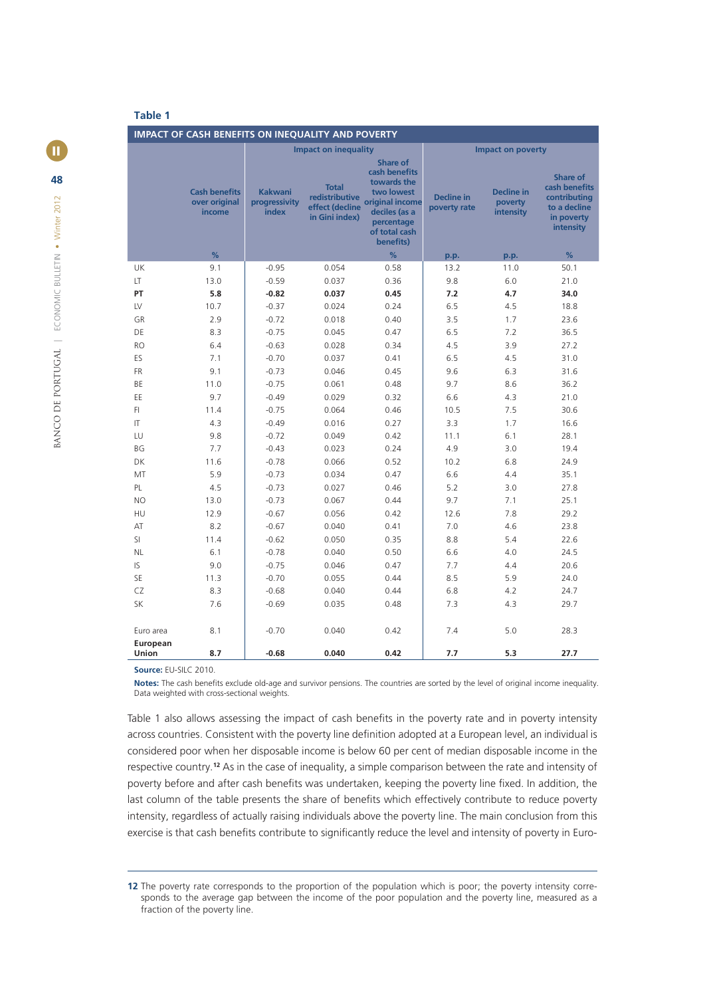# **Table 1**

| <b>IMPACT OF CASH BENEFITS ON INEQUALITY AND POVERTY</b> |                                                 |                                                 |                                                                     |                                                                                                                                               |                                   |                                           |                                                                                             |  |  |
|----------------------------------------------------------|-------------------------------------------------|-------------------------------------------------|---------------------------------------------------------------------|-----------------------------------------------------------------------------------------------------------------------------------------------|-----------------------------------|-------------------------------------------|---------------------------------------------------------------------------------------------|--|--|
|                                                          |                                                 | <b>Impact on inequality</b>                     |                                                                     |                                                                                                                                               | <b>Impact on poverty</b>          |                                           |                                                                                             |  |  |
|                                                          | <b>Cash benefits</b><br>over original<br>income | <b>Kakwani</b><br>progressivity<br><b>index</b> | <b>Total</b><br>redistributive<br>effect (decline<br>in Gini index) | <b>Share of</b><br>cash benefits<br>towards the<br>two lowest<br>original income<br>deciles (as a<br>percentage<br>of total cash<br>benefits) | <b>Decline in</b><br>poverty rate | <b>Decline in</b><br>poverty<br>intensity | <b>Share of</b><br>cash benefits<br>contributing<br>to a decline<br>in poverty<br>intensity |  |  |
|                                                          | %                                               |                                                 |                                                                     | %                                                                                                                                             | p.p.                              | p.p.                                      | %                                                                                           |  |  |
| UK                                                       | 9.1                                             | $-0.95$                                         | 0.054                                                               | 0.58                                                                                                                                          | 13.2                              | 11.0                                      | 50.1                                                                                        |  |  |
| LT                                                       | 13.0                                            | $-0.59$                                         | 0.037                                                               | 0.36                                                                                                                                          | 9.8                               | 6.0                                       | 21.0                                                                                        |  |  |
| PT                                                       | 5.8                                             | $-0.82$                                         | 0.037                                                               | 0.45                                                                                                                                          | 7.2                               | 4.7                                       | 34.0                                                                                        |  |  |
| LV                                                       | 10.7                                            | $-0.37$                                         | 0.024                                                               | 0.24                                                                                                                                          | 6.5                               | 4.5                                       | 18.8                                                                                        |  |  |
| GR                                                       | 2.9                                             | $-0.72$                                         | 0.018                                                               | 0.40                                                                                                                                          | 3.5                               | 1.7                                       | 23.6                                                                                        |  |  |
| DE                                                       | 8.3                                             | $-0.75$                                         | 0.045                                                               | 0.47                                                                                                                                          | 6.5                               | 7.2                                       | 36.5                                                                                        |  |  |
| <b>RO</b>                                                | 6.4                                             | $-0.63$                                         | 0.028                                                               | 0.34                                                                                                                                          | 4.5                               | 3.9                                       | 27.2                                                                                        |  |  |
| ES                                                       | 7.1                                             | $-0.70$                                         | 0.037                                                               | 0.41                                                                                                                                          | 6.5                               | 4.5                                       | 31.0                                                                                        |  |  |
| FR                                                       | 9.1                                             | $-0.73$                                         | 0.046                                                               | 0.45                                                                                                                                          | 9.6                               | 6.3                                       | 31.6                                                                                        |  |  |
| ΒE                                                       | 11.0                                            | $-0.75$                                         | 0.061                                                               | 0.48                                                                                                                                          | 9.7                               | 8.6                                       | 36.2                                                                                        |  |  |
| EE                                                       | 9.7                                             | $-0.49$                                         | 0.029                                                               | 0.32                                                                                                                                          | 6.6                               | 4.3                                       | 21.0                                                                                        |  |  |
| FI.                                                      | 11.4                                            | $-0.75$                                         | 0.064                                                               | 0.46                                                                                                                                          | 10.5                              | 7.5                                       | 30.6                                                                                        |  |  |
| $\mathsf{I}$                                             | 4.3                                             | $-0.49$                                         | 0.016                                                               | 0.27                                                                                                                                          | 3.3                               | 1.7                                       | 16.6                                                                                        |  |  |
| LU                                                       | 9.8                                             | $-0.72$                                         | 0.049                                                               | 0.42                                                                                                                                          | 11.1                              | 6.1                                       | 28.1                                                                                        |  |  |
| ΒG                                                       | 7.7                                             | $-0.43$                                         | 0.023                                                               | 0.24                                                                                                                                          | 4.9                               | 3.0                                       | 19.4                                                                                        |  |  |
| DK                                                       | 11.6                                            | $-0.78$                                         | 0.066                                                               | 0.52                                                                                                                                          | 10.2                              | 6.8                                       | 24.9                                                                                        |  |  |
| MT                                                       | 5.9                                             | $-0.73$                                         | 0.034                                                               | 0.47                                                                                                                                          | 6.6                               | 4.4                                       | 35.1                                                                                        |  |  |
| PL                                                       | 4.5                                             | $-0.73$                                         | 0.027                                                               | 0.46                                                                                                                                          | 5.2                               | 3.0                                       | 27.8                                                                                        |  |  |
| <b>NO</b>                                                | 13.0                                            | $-0.73$                                         | 0.067                                                               | 0.44                                                                                                                                          | 9.7                               | 7.1                                       | 25.1                                                                                        |  |  |
| HU                                                       | 12.9                                            | $-0.67$                                         | 0.056                                                               | 0.42                                                                                                                                          | 12.6                              | 7.8                                       | 29.2                                                                                        |  |  |
| AT                                                       | 8.2                                             | $-0.67$                                         | 0.040                                                               | 0.41                                                                                                                                          | 7.0                               | 4.6                                       | 23.8                                                                                        |  |  |
| SI.                                                      | 11.4                                            | $-0.62$                                         | 0.050                                                               | 0.35                                                                                                                                          | 8.8                               | 5.4                                       | 22.6                                                                                        |  |  |
| <b>NL</b>                                                | 6.1                                             | $-0.78$                                         | 0.040                                                               | 0.50                                                                                                                                          | 6.6                               | 4.0                                       | 24.5                                                                                        |  |  |
| IS                                                       | 9.0                                             | $-0.75$                                         | 0.046                                                               | 0.47                                                                                                                                          | 7.7                               | 4.4                                       | 20.6                                                                                        |  |  |
| SE                                                       | 11.3                                            | $-0.70$                                         | 0.055                                                               | 0.44                                                                                                                                          | 8.5                               | 5.9                                       | 24.0                                                                                        |  |  |
| CZ                                                       | 8.3                                             | $-0.68$                                         | 0.040                                                               | 0.44                                                                                                                                          | 6.8                               | 4.2                                       | 24.7                                                                                        |  |  |
| SK                                                       | 7.6                                             | $-0.69$                                         | 0.035                                                               | 0.48                                                                                                                                          | 7.3                               | 4.3                                       | 29.7                                                                                        |  |  |
| Euro area                                                | 8.1                                             | $-0.70$                                         | 0.040                                                               | 0.42                                                                                                                                          | 7.4                               | 5.0                                       | 28.3                                                                                        |  |  |
| European<br>Union                                        | 8.7                                             | $-0.68$                                         | 0.040                                                               | 0.42                                                                                                                                          | 7.7                               | 5.3                                       | 27.7                                                                                        |  |  |

**Source:** EU-SILC 2010.

Notes: The cash benefits exclude old-age and survivor pensions. The countries are sorted by the level of original income inequality. Data weighted with cross-sectional weights.

Table 1 also allows assessing the impact of cash benefits in the poverty rate and in poverty intensity across countries. Consistent with the poverty line definition adopted at a European level, an individual is considered poor when her disposable income is below 60 per cent of median disposable income in the respective country.**<sup>12</sup>** As in the case of inequality, a simple comparison between the rate and intensity of poverty before and after cash benefits was undertaken, keeping the poverty line fixed. In addition, the last column of the table presents the share of benefits which effectively contribute to reduce poverty intensity, regardless of actually raising individuals above the poverty line. The main conclusion from this exercise is that cash benefits contribute to significantly reduce the level and intensity of poverty in Euro-

**<sup>12</sup>** The poverty rate corresponds to the proportion of the population which is poor; the poverty intensity corresponds to the average gap between the income of the poor population and the poverty line, measured as a fraction of the poverty line.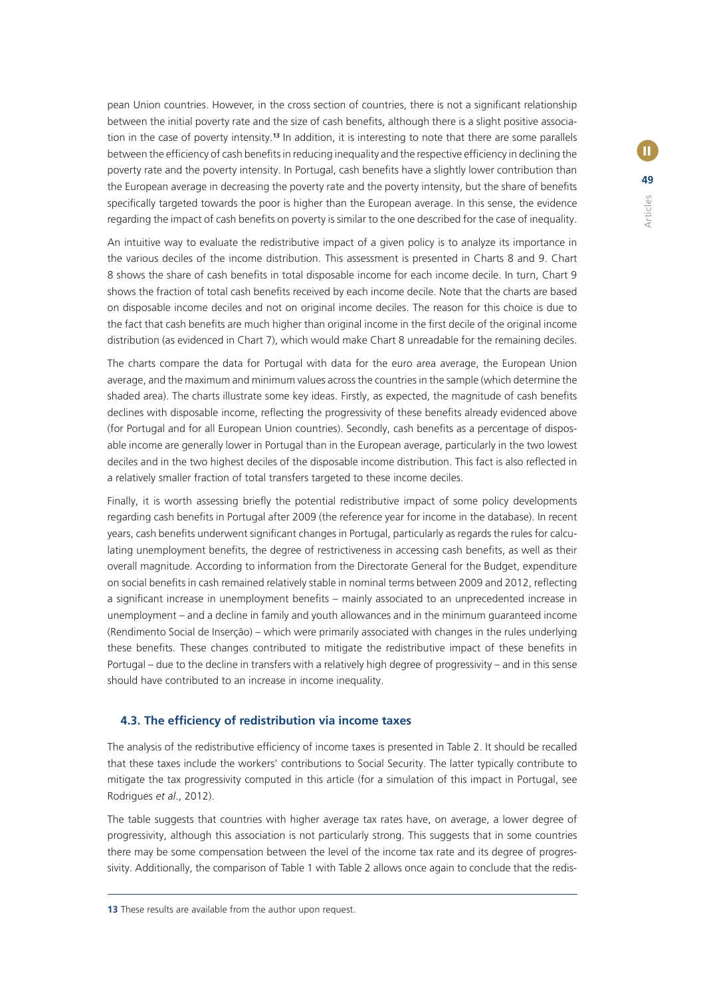pean Union countries. However, in the cross section of countries, there is not a significant relationship between the initial poverty rate and the size of cash benefits, although there is a slight positive association in the case of poverty intensity.**<sup>13</sup>** In addition, it is interesting to note that there are some parallels between the efficiency of cash benefits in reducing inequality and the respective efficiency in declining the poverty rate and the poverty intensity. In Portugal, cash benefits have a slightly lower contribution than the European average in decreasing the poverty rate and the poverty intensity, but the share of benefits specifically targeted towards the poor is higher than the European average. In this sense, the evidence regarding the impact of cash benefits on poverty is similar to the one described for the case of inequality.

An intuitive way to evaluate the redistributive impact of a given policy is to analyze its importance in the various deciles of the income distribution. This assessment is presented in Charts 8 and 9. Chart 8 shows the share of cash benefits in total disposable income for each income decile. In turn, Chart 9 shows the fraction of total cash benefits received by each income decile. Note that the charts are based on disposable income deciles and not on original income deciles. The reason for this choice is due to the fact that cash benefits are much higher than original income in the first decile of the original income distribution (as evidenced in Chart 7), which would make Chart 8 unreadable for the remaining deciles.

The charts compare the data for Portugal with data for the euro area average, the European Union average, and the maximum and minimum values across the countries in the sample (which determine the shaded area). The charts illustrate some key ideas. Firstly, as expected, the magnitude of cash benefits declines with disposable income, reflecting the progressivity of these benefits already evidenced above (for Portugal and for all European Union countries). Secondly, cash benefits as a percentage of disposable income are generally lower in Portugal than in the European average, particularly in the two lowest deciles and in the two highest deciles of the disposable income distribution. This fact is also reflected in a relatively smaller fraction of total transfers targeted to these income deciles.

Finally, it is worth assessing briefly the potential redistributive impact of some policy developments regarding cash benefits in Portugal after 2009 (the reference year for income in the database). In recent years, cash benefits underwent significant changes in Portugal, particularly as regards the rules for calculating unemployment benefits, the degree of restrictiveness in accessing cash benefits, as well as their overall magnitude. According to information from the Directorate General for the Budget, expenditure on social benefits in cash remained relatively stable in nominal terms between 2009 and 2012, reflecting a significant increase in unemployment benefits – mainly associated to an unprecedented increase in unemployment – and a decline in family and youth allowances and in the minimum guaranteed income (Rendimento Social de Inserção) – which were primarily associated with changes in the rules underlying these benefits. These changes contributed to mitigate the redistributive impact of these benefits in Portugal – due to the decline in transfers with a relatively high degree of progressivity – and in this sense should have contributed to an increase in income inequality.

#### **4.3. The efficiency of redistribution via income taxes**

The analysis of the redistributive efficiency of income taxes is presented in Table 2. It should be recalled that these taxes include the workers' contributions to Social Security. The latter typically contribute to mitigate the tax progressivity computed in this article (for a simulation of this impact in Portugal, see Rodrigues *et al*., 2012).

The table suggests that countries with higher average tax rates have, on average, a lower degree of progressivity, although this association is not particularly strong. This suggests that in some countries there may be some compensation between the level of the income tax rate and its degree of progressivity. Additionally, the comparison of Table 1 with Table 2 allows once again to conclude that the redis-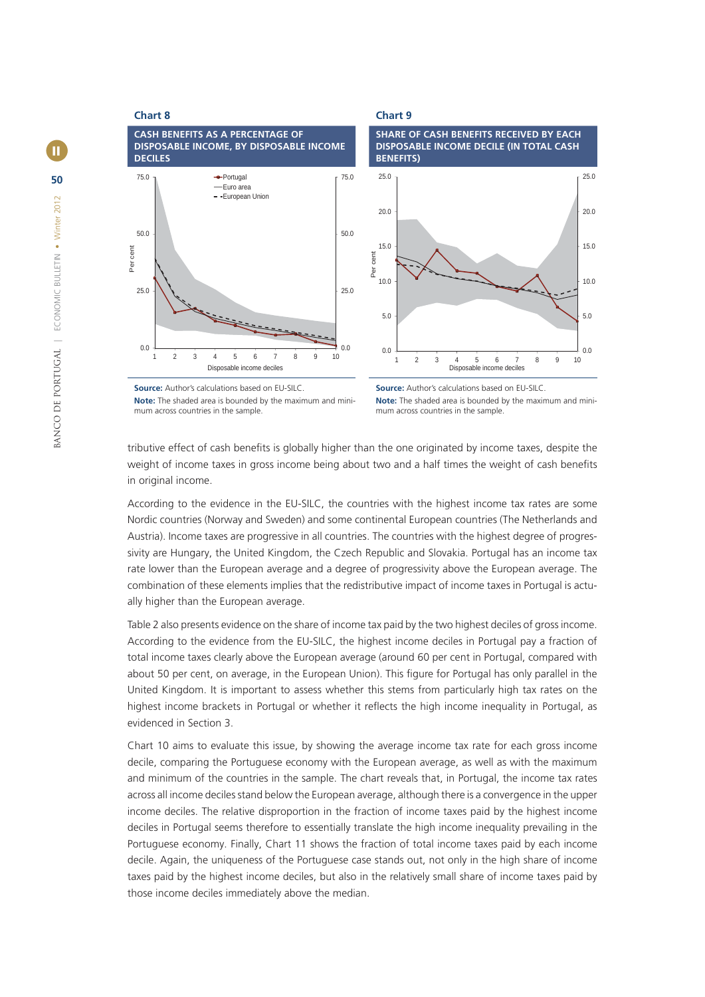



**Note:** The shaded area is bounded by the maximum and minimum across countries in the sample.

**Source:** Author's calculations based on EU-SILC. **Source:** Author's calculations based on EU-SILC. **Note:** The shaded area is bounded by the maximum and minimum across countries in the sample.

tributive effect of cash benefits is globally higher than the one originated by income taxes, despite the weight of income taxes in gross income being about two and a half times the weight of cash benefits in original income.

According to the evidence in the EU-SILC, the countries with the highest income tax rates are some Nordic countries (Norway and Sweden) and some continental European countries (The Netherlands and Austria). Income taxes are progressive in all countries. The countries with the highest degree of progressivity are Hungary, the United Kingdom, the Czech Republic and Slovakia. Portugal has an income tax rate lower than the European average and a degree of progressivity above the European average. The combination of these elements implies that the redistributive impact of income taxes in Portugal is actually higher than the European average.

Table 2 also presents evidence on the share of income tax paid by the two highest deciles of gross income. According to the evidence from the EU-SILC, the highest income deciles in Portugal pay a fraction of total income taxes clearly above the European average (around 60 per cent in Portugal, compared with about 50 per cent, on average, in the European Union). This figure for Portugal has only parallel in the United Kingdom. It is important to assess whether this stems from particularly high tax rates on the highest income brackets in Portugal or whether it reflects the high income inequality in Portugal, as evidenced in Section 3.

Chart 10 aims to evaluate this issue, by showing the average income tax rate for each gross income decile, comparing the Portuguese economy with the European average, as well as with the maximum and minimum of the countries in the sample. The chart reveals that, in Portugal, the income tax rates across all income deciles stand below the European average, although there is a convergence in the upper income deciles. The relative disproportion in the fraction of income taxes paid by the highest income deciles in Portugal seems therefore to essentially translate the high income inequality prevailing in the Portuguese economy. Finally, Chart 11 shows the fraction of total income taxes paid by each income decile. Again, the uniqueness of the Portuguese case stands out, not only in the high share of income taxes paid by the highest income deciles, but also in the relatively small share of income taxes paid by those income deciles immediately above the median.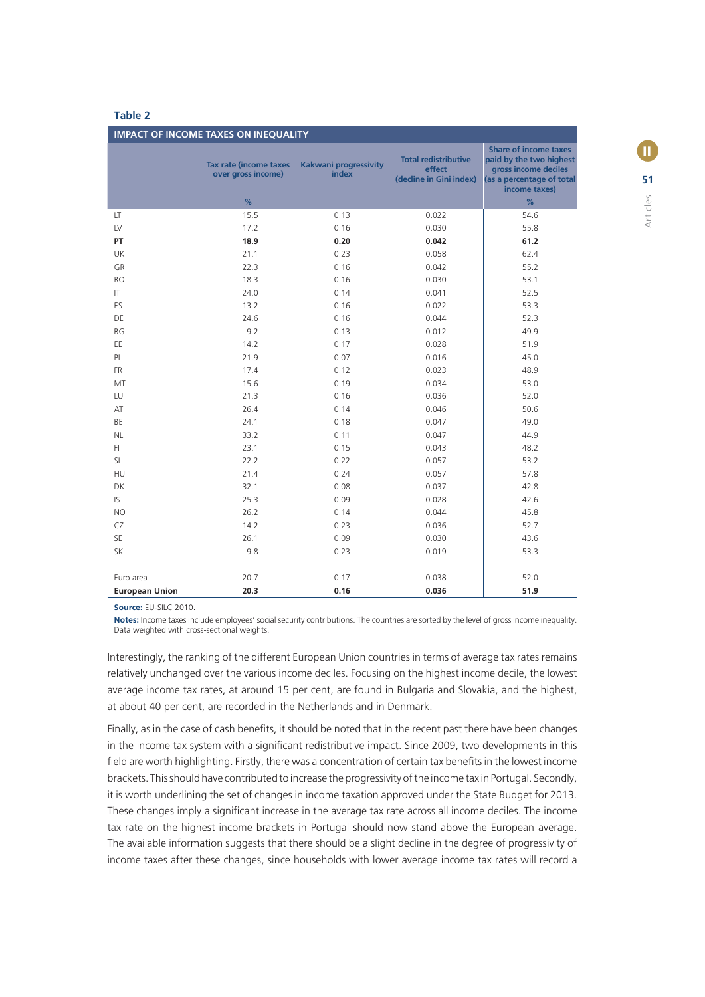### **Table 2**

| <b>IMPACT OF INCOME TAXES ON INEQUALITY</b> |                                                          |                                       |                                                                  |                                                                                                                                    |  |  |  |  |  |
|---------------------------------------------|----------------------------------------------------------|---------------------------------------|------------------------------------------------------------------|------------------------------------------------------------------------------------------------------------------------------------|--|--|--|--|--|
|                                             | <b>Tax rate (income taxes</b><br>over gross income)<br>% | <b>Kakwani progressivity</b><br>index | <b>Total redistributive</b><br>effect<br>(decline in Gini index) | <b>Share of income taxes</b><br>paid by the two highest<br>gross income deciles<br>(as a percentage of total<br>income taxes)<br>% |  |  |  |  |  |
| LT                                          | 15.5                                                     | 0.13                                  | 0.022                                                            | 54.6                                                                                                                               |  |  |  |  |  |
| LV                                          | 17.2                                                     | 0.16                                  | 0.030                                                            | 55.8                                                                                                                               |  |  |  |  |  |
| PT                                          | 18.9                                                     | 0.20                                  | 0.042                                                            | 61.2                                                                                                                               |  |  |  |  |  |
| UK                                          | 21.1                                                     | 0.23                                  | 0.058                                                            | 62.4                                                                                                                               |  |  |  |  |  |
| GR                                          | 22.3                                                     | 0.16                                  | 0.042                                                            | 55.2                                                                                                                               |  |  |  |  |  |
| <b>RO</b>                                   | 18.3                                                     | 0.16                                  | 0.030                                                            | 53.1                                                                                                                               |  |  |  |  |  |
| IT                                          | 24.0                                                     | 0.14                                  | 0.041                                                            | 52.5                                                                                                                               |  |  |  |  |  |
| ES.                                         | 13.2                                                     | 0.16                                  | 0.022                                                            | 53.3                                                                                                                               |  |  |  |  |  |
| DE                                          | 24.6                                                     | 0.16                                  | 0.044                                                            | 52.3                                                                                                                               |  |  |  |  |  |
| BG                                          | 9.2                                                      | 0.13                                  | 0.012                                                            | 49.9                                                                                                                               |  |  |  |  |  |
| EE                                          | 14.2                                                     | 0.17                                  | 0.028                                                            | 51.9                                                                                                                               |  |  |  |  |  |
| PL                                          | 21.9                                                     | 0.07                                  | 0.016                                                            | 45.0                                                                                                                               |  |  |  |  |  |
| <b>FR</b>                                   | 17.4                                                     | 0.12                                  | 0.023                                                            | 48.9                                                                                                                               |  |  |  |  |  |
| МT                                          | 15.6                                                     | 0.19                                  | 0.034                                                            | 53.0                                                                                                                               |  |  |  |  |  |
| LU                                          | 21.3                                                     | 0.16                                  | 0.036                                                            | 52.0                                                                                                                               |  |  |  |  |  |
| AT                                          | 26.4                                                     | 0.14                                  | 0.046                                                            | 50.6                                                                                                                               |  |  |  |  |  |
| <b>BE</b>                                   | 24.1                                                     | 0.18                                  | 0.047                                                            | 49.0                                                                                                                               |  |  |  |  |  |
| NL                                          | 33.2                                                     | 0.11                                  | 0.047                                                            | 44.9                                                                                                                               |  |  |  |  |  |
| FI                                          | 23.1                                                     | 0.15                                  | 0.043                                                            | 48.2                                                                                                                               |  |  |  |  |  |
| SI                                          | 22.2                                                     | 0.22                                  | 0.057                                                            | 53.2                                                                                                                               |  |  |  |  |  |
| HU                                          | 21.4                                                     | 0.24                                  | 0.057                                                            | 57.8                                                                                                                               |  |  |  |  |  |
| DK                                          | 32.1                                                     | 0.08                                  | 0.037                                                            | 42.8                                                                                                                               |  |  |  |  |  |
| IS.                                         | 25.3                                                     | 0.09                                  | 0.028                                                            | 42.6                                                                                                                               |  |  |  |  |  |
| NO.                                         | 26.2                                                     | 0.14                                  | 0.044                                                            | 45.8                                                                                                                               |  |  |  |  |  |
| CZ                                          | 14.2                                                     | 0.23                                  | 0.036                                                            | 52.7                                                                                                                               |  |  |  |  |  |
| <b>SE</b>                                   | 26.1                                                     | 0.09                                  | 0.030                                                            | 43.6                                                                                                                               |  |  |  |  |  |
| SK                                          | 9.8                                                      | 0.23                                  | 0.019                                                            | 53.3                                                                                                                               |  |  |  |  |  |
| Euro area                                   | 20.7                                                     | 0.17                                  | 0.038                                                            | 52.0                                                                                                                               |  |  |  |  |  |
| <b>European Union</b>                       | 20.3                                                     | 0.16                                  | 0.036                                                            | 51.9                                                                                                                               |  |  |  |  |  |
|                                             |                                                          |                                       |                                                                  |                                                                                                                                    |  |  |  |  |  |

**Source:** EU-SILC 2010.

**Notes:** Income taxes include employees' social security contributions. The countries are sorted by the level of gross income inequality. Data weighted with cross-sectional weights.

Interestingly, the ranking of the different European Union countries in terms of average tax rates remains relatively unchanged over the various income deciles. Focusing on the highest income decile, the lowest average income tax rates, at around 15 per cent, are found in Bulgaria and Slovakia, and the highest, at about 40 per cent, are recorded in the Netherlands and in Denmark.

Finally, as in the case of cash benefits, it should be noted that in the recent past there have been changes in the income tax system with a significant redistributive impact. Since 2009, two developments in this field are worth highlighting. Firstly, there was a concentration of certain tax benefits in the lowest income brackets. This should have contributed to increase the progressivity of the income tax in Portugal. Secondly, it is worth underlining the set of changes in income taxation approved under the State Budget for 2013. These changes imply a significant increase in the average tax rate across all income deciles. The income tax rate on the highest income brackets in Portugal should now stand above the European average. The available information suggests that there should be a slight decline in the degree of progressivity of income taxes after these changes, since households with lower average income tax rates will record a

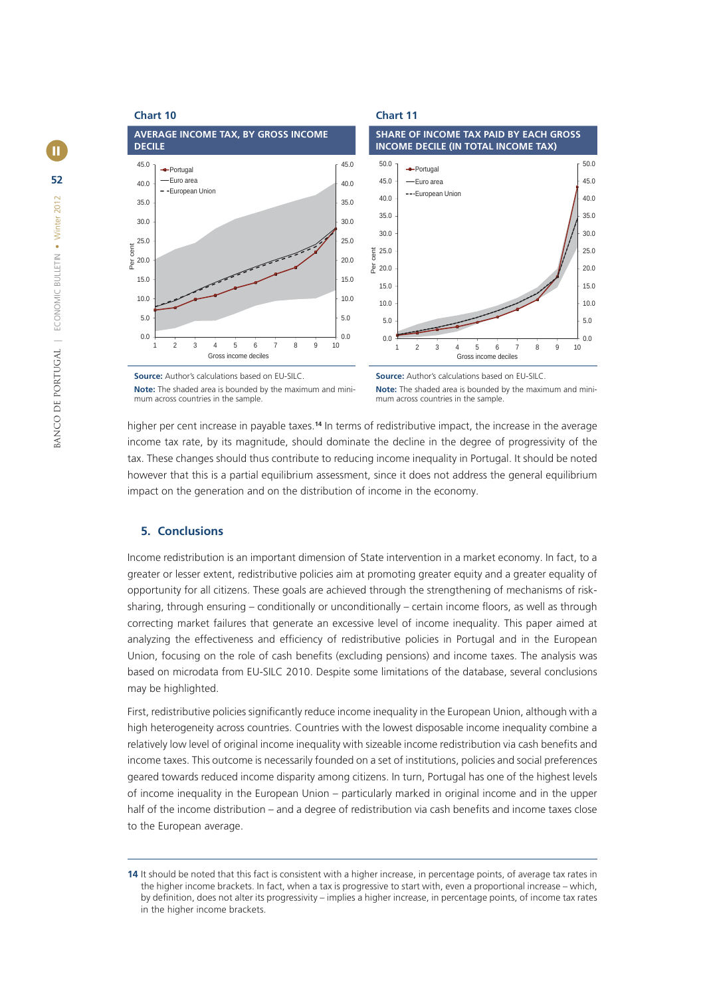### **Chart 10 Chart 11**





**Note:** The shaded area is bounded by the maximum and minimum across countries in the sample.

**Source:** Author's calculations based on EU-SILC. **Source:** Author's calculations based on EU-SILC. **Note:** The shaded area is bounded by the maximum and minimum across countries in the sample.

higher per cent increase in payable taxes.**<sup>14</sup>** In terms of redistributive impact, the increase in the average income tax rate, by its magnitude, should dominate the decline in the degree of progressivity of the tax. These changes should thus contribute to reducing income inequality in Portugal. It should be noted however that this is a partial equilibrium assessment, since it does not address the general equilibrium impact on the generation and on the distribution of income in the economy.

### **5. Conclusions**

Income redistribution is an important dimension of State intervention in a market economy. In fact, to a greater or lesser extent, redistributive policies aim at promoting greater equity and a greater equality of opportunity for all citizens. These goals are achieved through the strengthening of mechanisms of risksharing, through ensuring – conditionally or unconditionally – certain income floors, as well as through correcting market failures that generate an excessive level of income inequality. This paper aimed at analyzing the effectiveness and efficiency of redistributive policies in Portugal and in the European Union, focusing on the role of cash benefits (excluding pensions) and income taxes. The analysis was based on microdata from EU-SILC 2010. Despite some limitations of the database, several conclusions may be highlighted.

First, redistributive policies significantly reduce income inequality in the European Union, although with a high heterogeneity across countries. Countries with the lowest disposable income inequality combine a relatively low level of original income inequality with sizeable income redistribution via cash benefits and income taxes. This outcome is necessarily founded on a set of institutions, policies and social preferences geared towards reduced income disparity among citizens. In turn, Portugal has one of the highest levels of income inequality in the European Union – particularly marked in original income and in the upper half of the income distribution – and a degree of redistribution via cash benefits and income taxes close to the European average.

**<sup>14</sup>** It should be noted that this fact is consistent with a higher increase, in percentage points, of average tax rates in the higher income brackets. In fact, when a tax is progressive to start with, even a proportional increase – which, by definition, does not alter its progressivity – implies a higher increase, in percentage points, of income tax rates in the higher income brackets.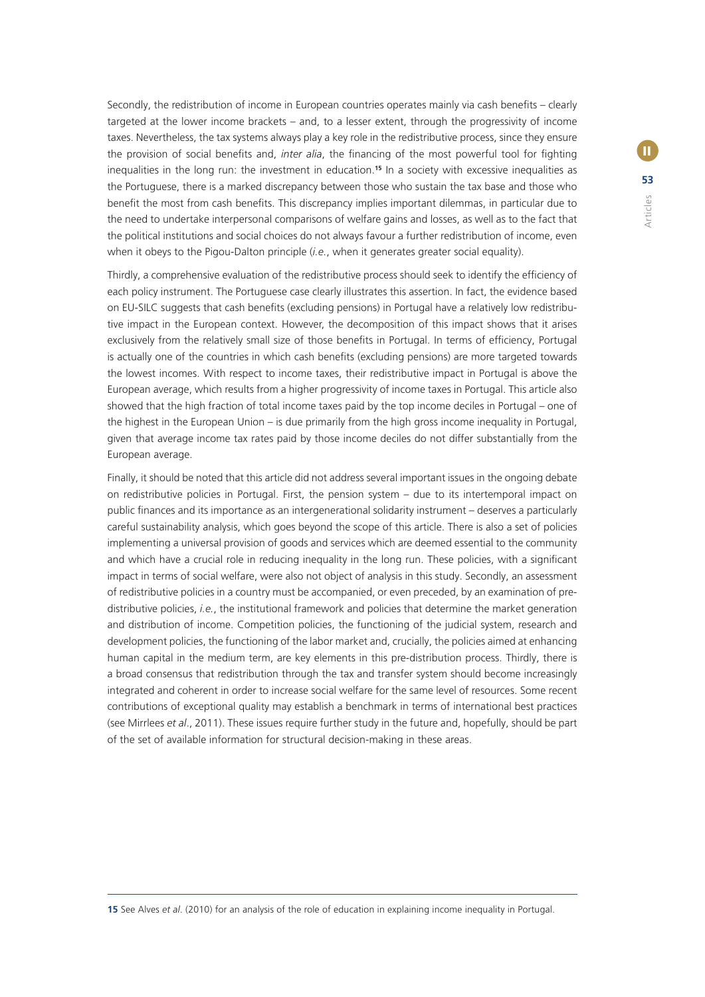Secondly, the redistribution of income in European countries operates mainly via cash benefits – clearly targeted at the lower income brackets – and, to a lesser extent, through the progressivity of income taxes. Nevertheless, the tax systems always play a key role in the redistributive process, since they ensure the provision of social benefits and, *inter alia*, the financing of the most powerful tool for fighting inequalities in the long run: the investment in education.**<sup>15</sup>** In a society with excessive inequalities as the Portuguese, there is a marked discrepancy between those who sustain the tax base and those who benefit the most from cash benefits. This discrepancy implies important dilemmas, in particular due to the need to undertake interpersonal comparisons of welfare gains and losses, as well as to the fact that the political institutions and social choices do not always favour a further redistribution of income, even when it obeys to the Pigou-Dalton principle (*i.e.*, when it generates greater social equality).

Thirdly, a comprehensive evaluation of the redistributive process should seek to identify the efficiency of each policy instrument. The Portuguese case clearly illustrates this assertion. In fact, the evidence based on EU-SILC suggests that cash benefits (excluding pensions) in Portugal have a relatively low redistributive impact in the European context. However, the decomposition of this impact shows that it arises exclusively from the relatively small size of those benefits in Portugal. In terms of efficiency, Portugal is actually one of the countries in which cash benefits (excluding pensions) are more targeted towards the lowest incomes. With respect to income taxes, their redistributive impact in Portugal is above the European average, which results from a higher progressivity of income taxes in Portugal. This article also showed that the high fraction of total income taxes paid by the top income deciles in Portugal – one of the highest in the European Union – is due primarily from the high gross income inequality in Portugal, given that average income tax rates paid by those income deciles do not differ substantially from the European average.

Finally, it should be noted that this article did not address several important issues in the ongoing debate on redistributive policies in Portugal. First, the pension system – due to its intertemporal impact on public finances and its importance as an intergenerational solidarity instrument – deserves a particularly careful sustainability analysis, which goes beyond the scope of this article. There is also a set of policies implementing a universal provision of goods and services which are deemed essential to the community and which have a crucial role in reducing inequality in the long run. These policies, with a significant impact in terms of social welfare, were also not object of analysis in this study. Secondly, an assessment of redistributive policies in a country must be accompanied, or even preceded, by an examination of predistributive policies, *i.e.*, the institutional framework and policies that determine the market generation and distribution of income. Competition policies, the functioning of the judicial system, research and development policies, the functioning of the labor market and, crucially, the policies aimed at enhancing human capital in the medium term, are key elements in this pre-distribution process. Thirdly, there is a broad consensus that redistribution through the tax and transfer system should become increasingly integrated and coherent in order to increase social welfare for the same level of resources. Some recent contributions of exceptional quality may establish a benchmark in terms of international best practices (see Mirrlees *et al*., 2011). These issues require further study in the future and, hopefully, should be part of the set of available information for structural decision-making in these areas.